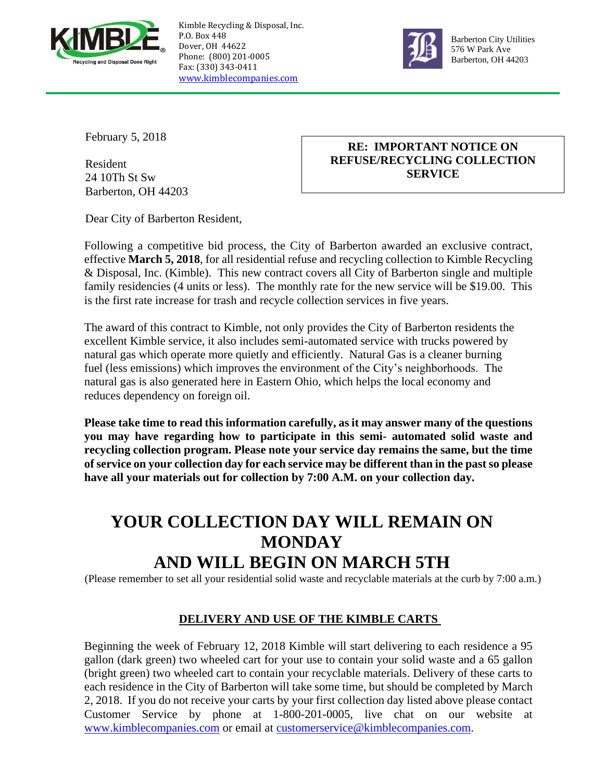

Kimble Recycling & Disposal, Inc. P.O. Box 448 Dover, OH 44622 Phone: (800) 201-0005 Fax: (330) 343-0411 [www.kimblecompanies.com](http://www.kimblecompanies.com/)



Barberton City Utilities 576 W Park Ave Barberton, OH 44203

February 5, 2018

Resident 24 10Th St Sw Barberton, OH 44203

## **RE: IMPORTANT NOTICE ON REFUSE/RECYCLING COLLECTION SERVICE**

Dear City of Barberton Resident,

Following a competitive bid process, the City of Barberton awarded an exclusive contract, effective **March 5, 2018**, for all residential refuse and recycling collection to Kimble Recycling & Disposal, Inc. (Kimble). This new contract covers all City of Barberton single and multiple family residencies (4 units or less). The monthly rate for the new service will be \$19.00. This is the first rate increase for trash and recycle collection services in five years.

The award of this contract to Kimble, not only provides the City of Barberton residents the excellent Kimble service, it also includes semi-automated service with trucks powered by natural gas which operate more quietly and efficiently. Natural Gas is a cleaner burning fuel (less emissions) which improves the environment of the City's neighborhoods. The natural gas is also generated here in Eastern Ohio, which helps the local economy and reduces dependency on foreign oil.

**Please take time to read this information carefully, as it may answer many of the questions you may have regarding how to participate in this semi- automated solid waste and recycling collection program. Please note your service day remains the same, but the time of service on your collection day for each service may be different than in the past so please have all your materials out for collection by 7:00 A.M. on your collection day.** 

# **YOUR COLLECTION DAY WILL REMAIN ON MONDAY AND WILL BEGIN ON MARCH 5TH**

(Please remember to set all your residential solid waste and recyclable materials at the curb by 7:00 a.m.)

## **DELIVERY AND USE OF THE KIMBLE CARTS**

Beginning the week of February 12, 2018 Kimble will start delivering to each residence a 95 gallon (dark green) two wheeled cart for your use to contain your solid waste and a 65 gallon (bright green) two wheeled cart to contain your recyclable materials. Delivery of these carts to each residence in the City of Barberton will take some time, but should be completed by March 2, 2018. If you do not receive your carts by your first collection day listed above please contact Customer Service by phone at 1-800-201-0005, live chat on our website at [www.kimblecompanies.com](http://www.kimblecompanies.com/) or email at [customerservice@kimblecompanies.com.](mailto:customerservice@kimblecompanies.com)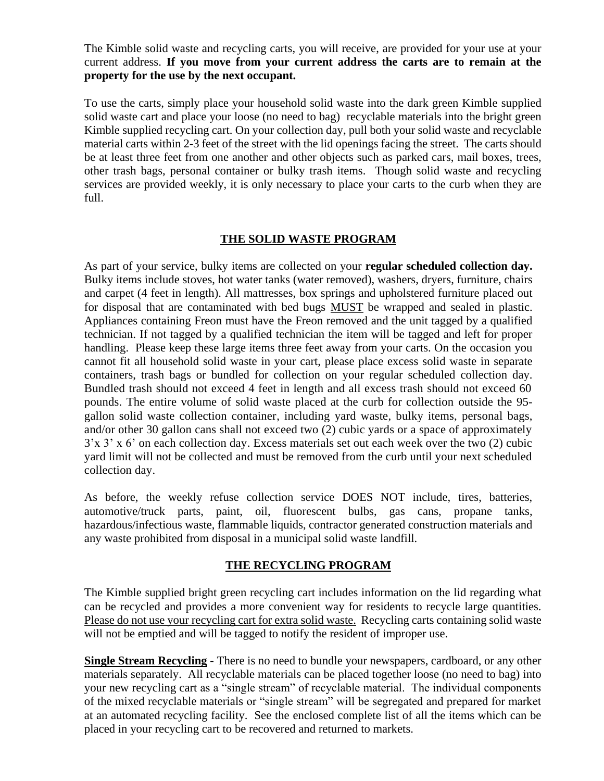The Kimble solid waste and recycling carts, you will receive, are provided for your use at your current address. **If you move from your current address the carts are to remain at the property for the use by the next occupant.** 

To use the carts, simply place your household solid waste into the dark green Kimble supplied solid waste cart and place your loose (no need to bag) recyclable materials into the bright green Kimble supplied recycling cart. On your collection day, pull both your solid waste and recyclable material carts within 2-3 feet of the street with the lid openings facing the street. The carts should be at least three feet from one another and other objects such as parked cars, mail boxes, trees, other trash bags, personal container or bulky trash items. Though solid waste and recycling services are provided weekly, it is only necessary to place your carts to the curb when they are full.

#### **THE SOLID WASTE PROGRAM**

As part of your service, bulky items are collected on your **regular scheduled collection day.**  Bulky items include stoves, hot water tanks (water removed), washers, dryers, furniture, chairs and carpet (4 feet in length). All mattresses, box springs and upholstered furniture placed out for disposal that are contaminated with bed bugs MUST be wrapped and sealed in plastic. Appliances containing Freon must have the Freon removed and the unit tagged by a qualified technician. If not tagged by a qualified technician the item will be tagged and left for proper handling. Please keep these large items three feet away from your carts. On the occasion you cannot fit all household solid waste in your cart, please place excess solid waste in separate containers, trash bags or bundled for collection on your regular scheduled collection day. Bundled trash should not exceed 4 feet in length and all excess trash should not exceed 60 pounds. The entire volume of solid waste placed at the curb for collection outside the 95 gallon solid waste collection container, including yard waste, bulky items, personal bags, and/or other 30 gallon cans shall not exceed two (2) cubic yards or a space of approximately 3'x 3' x 6' on each collection day. Excess materials set out each week over the two (2) cubic yard limit will not be collected and must be removed from the curb until your next scheduled collection day.

As before, the weekly refuse collection service DOES NOT include, tires, batteries, automotive/truck parts, paint, oil, fluorescent bulbs, gas cans, propane tanks, hazardous/infectious waste, flammable liquids, contractor generated construction materials and any waste prohibited from disposal in a municipal solid waste landfill.

#### **THE RECYCLING PROGRAM**

The Kimble supplied bright green recycling cart includes information on the lid regarding what can be recycled and provides a more convenient way for residents to recycle large quantities. Please do not use your recycling cart for extra solid waste. Recycling carts containing solid waste will not be emptied and will be tagged to notify the resident of improper use.

**Single Stream Recycling** - There is no need to bundle your newspapers, cardboard, or any other materials separately. All recyclable materials can be placed together loose (no need to bag) into your new recycling cart as a "single stream" of recyclable material. The individual components of the mixed recyclable materials or "single stream" will be segregated and prepared for market at an automated recycling facility. See the enclosed complete list of all the items which can be placed in your recycling cart to be recovered and returned to markets.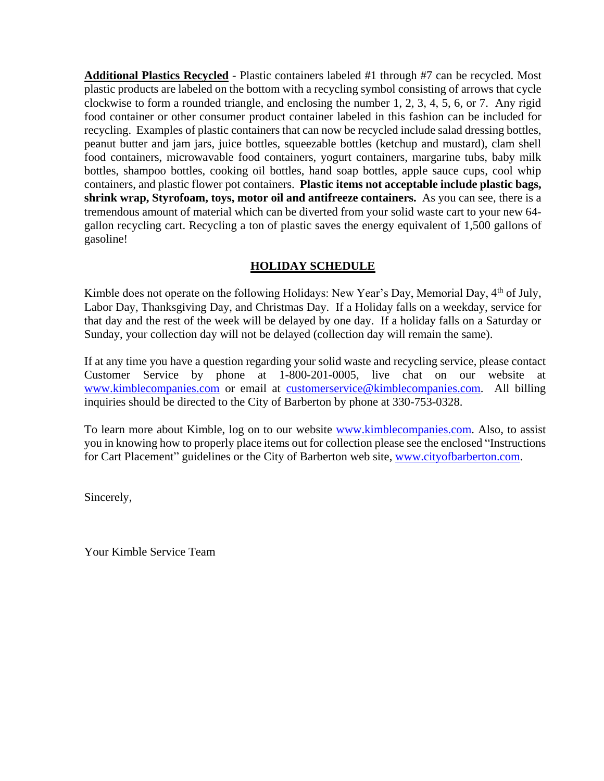**Additional Plastics Recycled** - Plastic containers labeled #1 through #7 can be recycled. Most plastic products are labeled on the bottom with a recycling symbol consisting of arrows that cycle clockwise to form a rounded triangle, and enclosing the number 1, 2, 3, 4, 5, 6, or 7. Any rigid food container or other consumer product container labeled in this fashion can be included for recycling. Examples of plastic containers that can now be recycled include salad dressing bottles, peanut butter and jam jars, juice bottles, squeezable bottles (ketchup and mustard), clam shell food containers, microwavable food containers, yogurt containers, margarine tubs, baby milk bottles, shampoo bottles, cooking oil bottles, hand soap bottles, apple sauce cups, cool whip containers, and plastic flower pot containers. **Plastic items not acceptable include plastic bags, shrink wrap, Styrofoam, toys, motor oil and antifreeze containers.** As you can see, there is a tremendous amount of material which can be diverted from your solid waste cart to your new 64 gallon recycling cart. Recycling a ton of plastic saves the energy equivalent of 1,500 gallons of gasoline!

## **HOLIDAY SCHEDULE**

Kimble does not operate on the following Holidays: New Year's Day, Memorial Day, 4<sup>th</sup> of July, Labor Day, Thanksgiving Day, and Christmas Day. If a Holiday falls on a weekday, service for that day and the rest of the week will be delayed by one day. If a holiday falls on a Saturday or Sunday, your collection day will not be delayed (collection day will remain the same).

If at any time you have a question regarding your solid waste and recycling service, please contact Customer Service by phone at 1-800-201-0005, live chat on our website at [www.kimblecompanies.com](http://www.kimblecompanies.com/) or email at [customerservice@kimblecompanies.com.](mailto:customerservice@kimblecompanies.com) All billing inquiries should be directed to the City of Barberton by phone at 330-753-0328.

To learn more about Kimble, log on to our website [www.kimblecompanies.com.](http://www.kimblecompanies.com/) Also, to assist you in knowing how to properly place items out for collection please see the enclosed "Instructions for Cart Placement" guidelines or the City of Barberton web site, [www.cityofbarberton.com.](http://www.cityofbarberton.com/)

Sincerely,

Your Kimble Service Team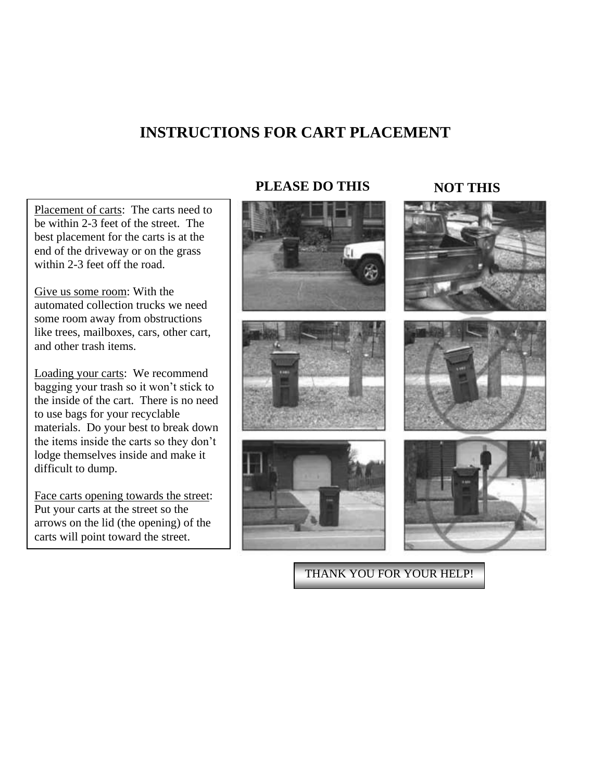## **INSTRUCTIONS FOR CART PLACEMENT**

Placement of carts: The carts need to be within 2-3 feet of the street. The best placement for the carts is at the end of the driveway or on the grass within 2-3 feet off the road.

Give us some room: With the automated collection trucks we need some room away from obstructions like trees, mailboxes, cars, other cart, and other trash items.

Loading your carts: We recommend bagging your trash so it won't stick to the inside of the cart. There is no need to use bags for your recyclable materials. Do your best to break down the items inside the carts so they don't lodge themselves inside and make it difficult to dump.

Face carts opening towards the street: Put your carts at the street so the arrows on the lid (the opening) of the carts will point toward the street.

## **PLEASE DO THIS NOT THIS**









THANK YOU FOR YOUR HELP!